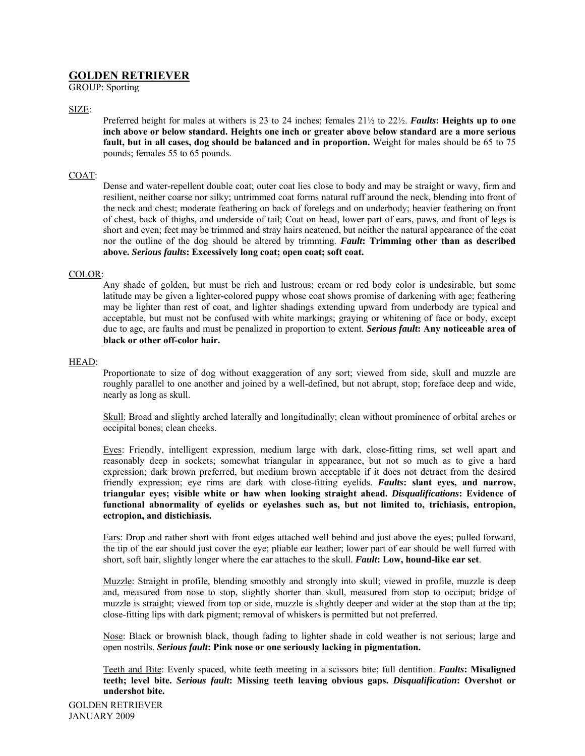# **GOLDEN RETRIEVER**

GROUP: Sporting

SIZE:

Preferred height for males at withers is 23 to 24 inches; females 21½ to 22½. *Faults***: Heights up to one inch above or below standard. Heights one inch or greater above below standard are a more serious fault, but in all cases, dog should be balanced and in proportion.** Weight for males should be 65 to 75 pounds; females 55 to 65 pounds.

# COAT:

Dense and water-repellent double coat; outer coat lies close to body and may be straight or wavy, firm and resilient, neither coarse nor silky; untrimmed coat forms natural ruff around the neck, blending into front of the neck and chest; moderate feathering on back of forelegs and on underbody; heavier feathering on front of chest, back of thighs, and underside of tail; Coat on head, lower part of ears, paws, and front of legs is short and even; feet may be trimmed and stray hairs neatened, but neither the natural appearance of the coat nor the outline of the dog should be altered by trimming. *Fault***: Trimming other than as described above.** *Serious faults***: Excessively long coat; open coat; soft coat.** 

# COLOR:

Any shade of golden, but must be rich and lustrous; cream or red body color is undesirable, but some latitude may be given a lighter-colored puppy whose coat shows promise of darkening with age; feathering may be lighter than rest of coat, and lighter shadings extending upward from underbody are typical and acceptable, but must not be confused with white markings; graying or whitening of face or body, except due to age, are faults and must be penalized in proportion to extent. *Serious fault***: Any noticeable area of black or other off-color hair.** 

# HEAD:

Proportionate to size of dog without exaggeration of any sort; viewed from side, skull and muzzle are roughly parallel to one another and joined by a well-defined, but not abrupt, stop; foreface deep and wide, nearly as long as skull.

Skull: Broad and slightly arched laterally and longitudinally; clean without prominence of orbital arches or occipital bones; clean cheeks.

Eyes: Friendly, intelligent expression, medium large with dark, close-fitting rims, set well apart and reasonably deep in sockets; somewhat triangular in appearance, but not so much as to give a hard expression; dark brown preferred, but medium brown acceptable if it does not detract from the desired friendly expression; eye rims are dark with close-fitting eyelids. *Faults***: slant eyes, and narrow, triangular eyes; visible white or haw when looking straight ahead.** *Disqualifications***: Evidence of functional abnormality of eyelids or eyelashes such as, but not limited to, trichiasis, entropion, ectropion, and distichiasis.** 

Ears: Drop and rather short with front edges attached well behind and just above the eyes; pulled forward, the tip of the ear should just cover the eye; pliable ear leather; lower part of ear should be well furred with short, soft hair, slightly longer where the ear attaches to the skull. *Fault***: Low, hound-like ear set**.

Muzzle: Straight in profile, blending smoothly and strongly into skull; viewed in profile, muzzle is deep and, measured from nose to stop, slightly shorter than skull, measured from stop to occiput; bridge of muzzle is straight; viewed from top or side, muzzle is slightly deeper and wider at the stop than at the tip; close-fitting lips with dark pigment; removal of whiskers is permitted but not preferred.

Nose: Black or brownish black, though fading to lighter shade in cold weather is not serious; large and open nostrils. *Serious fault***: Pink nose or one seriously lacking in pigmentation.** 

Teeth and Bite: Evenly spaced, white teeth meeting in a scissors bite; full dentition. *Faults***: Misaligned teeth; level bite.** *Serious fault***: Missing teeth leaving obvious gaps.** *Disqualification***: Overshot or undershot bite.** 

GOLDEN RETRIEVER JANUARY 2009